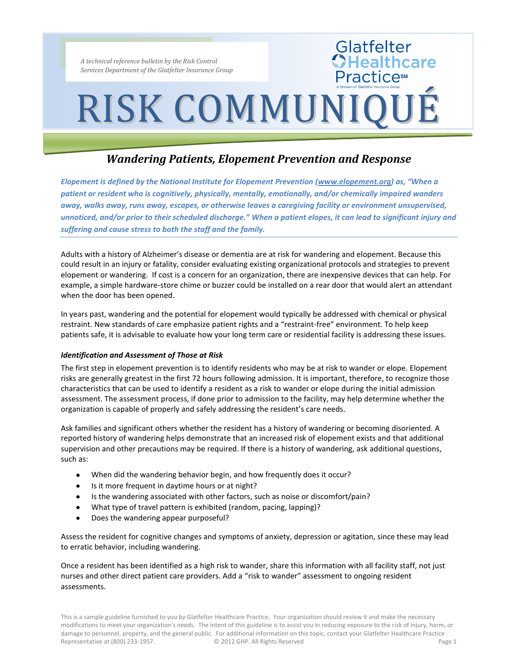## RISK COMMUNIQUÉ

Glatfelter<br>**CHealthcare** 

**Practices** 

### *Wandering Patients, Elopement Prevention and Response*

*Elopement is defined by the National Institute for Elopement Prevention (www.elopement.org) as, "When a patient or resident who is cognitively, physically, mentally, emotionally, and/or chemically impaired wanders away, walks away, runs away, escapes, or otherwise leaves a caregiving facility or environment unsupervised, unnoticed, and/or prior to their scheduled discharge." When a patient elopes, it can lead to significant injury and suffering and cause stress to both the staff and the family.*

Adults with a history of Alzheimer's disease or dementia are at risk for wandering and elopement. Because this could result in an injury or fatality, consider evaluating existing organizational protocols and strategies to prevent elopement or wandering. If cost is a concern for an organization, there are inexpensive devices that can help. For example, a simple hardware-store chime or buzzer could be installed on a rear door that would alert an attendant when the door has been opened.

In years past, wandering and the potential for elopement would typically be addressed with chemical or physical restraint. New standards of care emphasize patient rights and a "restraint-free" environment. To help keep patients safe, it is advisable to evaluate how your long term care or residential facility is addressing these issues.

#### *Identification and Assessment of Those at Risk*

The first step in elopement prevention is to identify residents who may be at risk to wander or elope. Elopement risks are generally greatest in the first 72 hours following admission. It is important, therefore, to recognize those characteristics that can be used to identify a resident as a risk to wander or elope during the initial admission assessment. The assessment process, if done prior to admission to the facility, may help determine whether the organization is capable of properly and safely addressing the resident's care needs.

Ask families and significant others whether the resident has a history of wandering or becoming disoriented. A reported history of wandering helps demonstrate that an increased risk of elopement exists and that additional supervision and other precautions may be required. If there is a history of wandering, ask additional questions, such as:

- When did the wandering behavior begin, and how frequently does it occur?
- Is it more frequent in daytime hours or at night?
- Is the wandering associated with other factors, such as noise or discomfort/pain?  $\bullet$
- What type of travel pattern is exhibited (random, pacing, lapping)?  $\bullet$
- Does the wandering appear purposeful?

Assess the resident for cognitive changes and symptoms of anxiety, depression or agitation, since these may lead to erratic behavior, including wandering.

Once a resident has been identified as a high risk to wander, share this information with all facility staff, not just nurses and other direct patient care providers. Add a "risk to wander" assessment to ongoing resident assessments.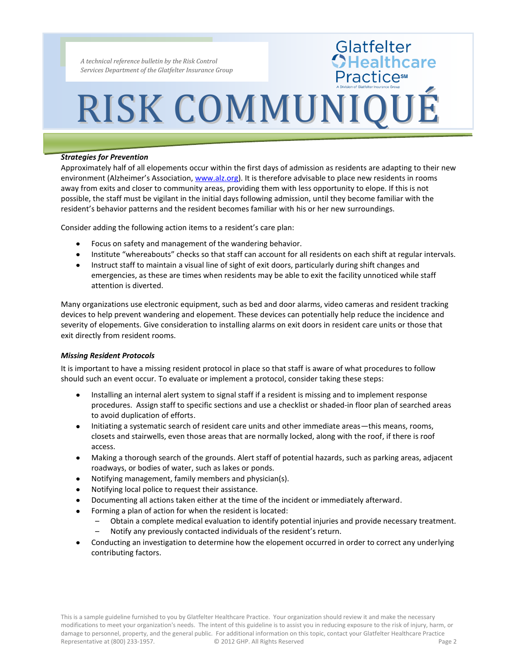## RISK COMMUNIQUÉ

Glatfelter<br>CHealthcare

**PracticesM** 

#### *Strategies for Prevention*

Approximately half of all elopements occur within the first days of admission as residents are adapting to their new environment (Alzheimer's Association, www.alz.org). It is therefore advisable to place new residents in rooms away from exits and closer to community areas, providing them with less opportunity to elope. If this is not possible, the staff must be vigilant in the initial days following admission, until they become familiar with the resident's behavior patterns and the resident becomes familiar with his or her new surroundings.

Consider adding the following action items to a resident's care plan:

- Focus on safety and management of the wandering behavior.
- Institute "whereabouts" checks so that staff can account for all residents on each shift at regular intervals.
- Instruct staff to maintain a visual line of sight of exit doors, particularly during shift changes and emergencies, as these are times when residents may be able to exit the facility unnoticed while staff attention is diverted.

Many organizations use electronic equipment, such as bed and door alarms, video cameras and resident tracking devices to help prevent wandering and elopement. These devices can potentially help reduce the incidence and severity of elopements. Give consideration to installing alarms on exit doors in resident care units or those that exit directly from resident rooms.

#### *Missing Resident Protocols*

It is important to have a missing resident protocol in place so that staff is aware of what procedures to follow should such an event occur. To evaluate or implement a protocol, consider taking these steps:

- Installing an internal alert system to signal staff if a resident is missing and to implement response procedures. Assign staff to specific sections and use a checklist or shaded-in floor plan of searched areas to avoid duplication of efforts.
- $\bullet$ Initiating a systematic search of resident care units and other immediate areas—this means, rooms, closets and stairwells, even those areas that are normally locked, along with the roof, if there is roof access.
- Making a thorough search of the grounds. Alert staff of potential hazards, such as parking areas, adjacent roadways, or bodies of water, such as lakes or ponds.
- Notifying management, family members and physician(s).
- $\bullet$ Notifying local police to request their assistance.
- Documenting all actions taken either at the time of the incident or immediately afterward.
- Forming a plan of action for when the resident is located:
	- Obtain a complete medical evaluation to identify potential injuries and provide necessary treatment. – Notify any previously contacted individuals of the resident's return.
- Conducting an investigation to determine how the elopement occurred in order to correct any underlying contributing factors.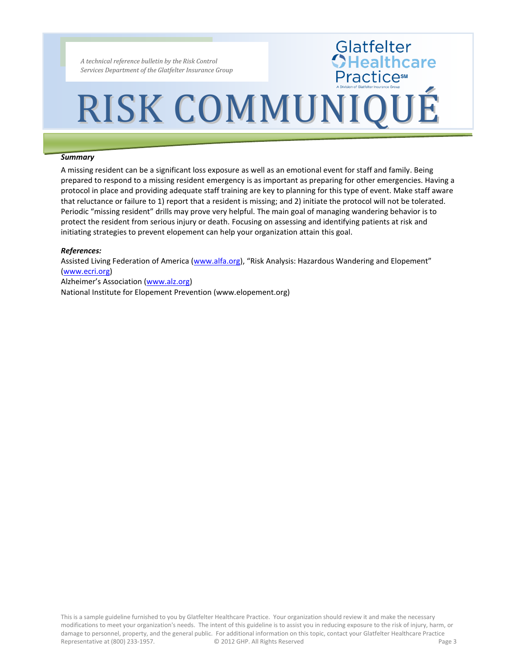## RISK COMMUNIQUÉ

Glatfelter<br>CHealthcare

**Practice**s

#### *Summary*

A missing resident can be a significant loss exposure as well as an emotional event for staff and family. Being prepared to respond to a missing resident emergency is as important as preparing for other emergencies. Having a protocol in place and providing adequate staff training are key to planning for this type of event. Make staff aware that reluctance or failure to 1) report that a resident is missing; and 2) initiate the protocol will not be tolerated. Periodic "missing resident" drills may prove very helpful. The main goal of managing wandering behavior is to protect the resident from serious injury or death. Focusing on assessing and identifying patients at risk and initiating strategies to prevent elopement can help your organization attain this goal.

#### *References:*

Assisted Living Federation of America (www.alfa.org), "Risk Analysis: Hazardous Wandering and Elopement" (www.ecri.org)

Alzheimer's Association (www.alz.org) National Institute for Elopement Prevention (www.elopement.org)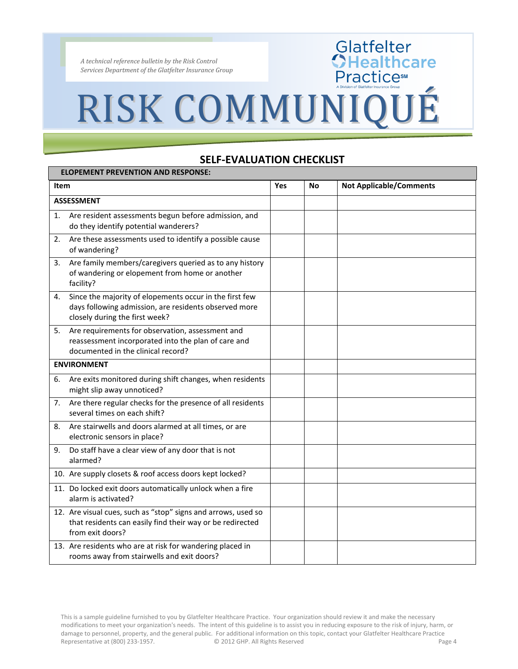### RISK COMMUNIQUÉ

### **SELF-EVALUATION CHECKLIST**

Glatfelter<br>CHealthcare<br>Practice®

| <b>ELOPEMENT PREVENTION AND RESPONSE:</b> |                                                                                                                                                    |     |    |                                |  |  |
|-------------------------------------------|----------------------------------------------------------------------------------------------------------------------------------------------------|-----|----|--------------------------------|--|--|
| <b>Item</b>                               |                                                                                                                                                    | Yes | No | <b>Not Applicable/Comments</b> |  |  |
| <b>ASSESSMENT</b>                         |                                                                                                                                                    |     |    |                                |  |  |
| 1.                                        | Are resident assessments begun before admission, and<br>do they identify potential wanderers?                                                      |     |    |                                |  |  |
| 2.                                        | Are these assessments used to identify a possible cause<br>of wandering?                                                                           |     |    |                                |  |  |
| 3.                                        | Are family members/caregivers queried as to any history<br>of wandering or elopement from home or another<br>facility?                             |     |    |                                |  |  |
| 4.                                        | Since the majority of elopements occur in the first few<br>days following admission, are residents observed more<br>closely during the first week? |     |    |                                |  |  |
| 5.                                        | Are requirements for observation, assessment and<br>reassessment incorporated into the plan of care and<br>documented in the clinical record?      |     |    |                                |  |  |
| <b>ENVIRONMENT</b>                        |                                                                                                                                                    |     |    |                                |  |  |
| 6.                                        | Are exits monitored during shift changes, when residents<br>might slip away unnoticed?                                                             |     |    |                                |  |  |
| 7.                                        | Are there regular checks for the presence of all residents<br>several times on each shift?                                                         |     |    |                                |  |  |
| 8.                                        | Are stairwells and doors alarmed at all times, or are<br>electronic sensors in place?                                                              |     |    |                                |  |  |
| 9.                                        | Do staff have a clear view of any door that is not<br>alarmed?                                                                                     |     |    |                                |  |  |
|                                           | 10. Are supply closets & roof access doors kept locked?                                                                                            |     |    |                                |  |  |
|                                           | 11. Do locked exit doors automatically unlock when a fire<br>alarm is activated?                                                                   |     |    |                                |  |  |
|                                           | 12. Are visual cues, such as "stop" signs and arrows, used so<br>that residents can easily find their way or be redirected<br>from exit doors?     |     |    |                                |  |  |
|                                           | 13. Are residents who are at risk for wandering placed in<br>rooms away from stairwells and exit doors?                                            |     |    |                                |  |  |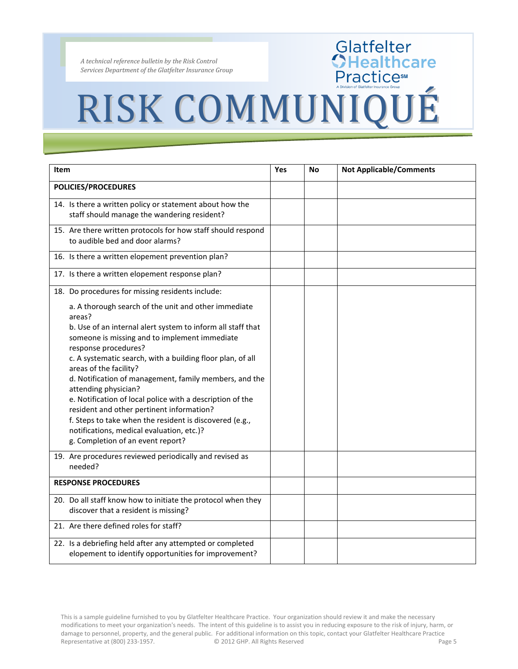# RISK COMMUNIQUÉ

Glatfelter<br>CHealthcare<br>Practices

| <b>Item</b>                |                                                                                                                                                                                                                                                                                                                                                                                                                                                                                                                                                                                                                                  | <b>Yes</b> | No | <b>Not Applicable/Comments</b> |
|----------------------------|----------------------------------------------------------------------------------------------------------------------------------------------------------------------------------------------------------------------------------------------------------------------------------------------------------------------------------------------------------------------------------------------------------------------------------------------------------------------------------------------------------------------------------------------------------------------------------------------------------------------------------|------------|----|--------------------------------|
| POLICIES/PROCEDURES        |                                                                                                                                                                                                                                                                                                                                                                                                                                                                                                                                                                                                                                  |            |    |                                |
|                            | 14. Is there a written policy or statement about how the<br>staff should manage the wandering resident?                                                                                                                                                                                                                                                                                                                                                                                                                                                                                                                          |            |    |                                |
|                            | 15. Are there written protocols for how staff should respond<br>to audible bed and door alarms?                                                                                                                                                                                                                                                                                                                                                                                                                                                                                                                                  |            |    |                                |
|                            | 16. Is there a written elopement prevention plan?                                                                                                                                                                                                                                                                                                                                                                                                                                                                                                                                                                                |            |    |                                |
|                            | 17. Is there a written elopement response plan?                                                                                                                                                                                                                                                                                                                                                                                                                                                                                                                                                                                  |            |    |                                |
|                            | 18. Do procedures for missing residents include:                                                                                                                                                                                                                                                                                                                                                                                                                                                                                                                                                                                 |            |    |                                |
|                            | a. A thorough search of the unit and other immediate<br>areas?                                                                                                                                                                                                                                                                                                                                                                                                                                                                                                                                                                   |            |    |                                |
|                            | b. Use of an internal alert system to inform all staff that<br>someone is missing and to implement immediate<br>response procedures?<br>c. A systematic search, with a building floor plan, of all<br>areas of the facility?<br>d. Notification of management, family members, and the<br>attending physician?<br>e. Notification of local police with a description of the<br>resident and other pertinent information?<br>f. Steps to take when the resident is discovered (e.g.,<br>notifications, medical evaluation, etc.)?<br>g. Completion of an event report?<br>19. Are procedures reviewed periodically and revised as |            |    |                                |
|                            | needed?                                                                                                                                                                                                                                                                                                                                                                                                                                                                                                                                                                                                                          |            |    |                                |
| <b>RESPONSE PROCEDURES</b> |                                                                                                                                                                                                                                                                                                                                                                                                                                                                                                                                                                                                                                  |            |    |                                |
|                            | 20. Do all staff know how to initiate the protocol when they<br>discover that a resident is missing?                                                                                                                                                                                                                                                                                                                                                                                                                                                                                                                             |            |    |                                |
|                            | 21. Are there defined roles for staff?                                                                                                                                                                                                                                                                                                                                                                                                                                                                                                                                                                                           |            |    |                                |
|                            | 22. Is a debriefing held after any attempted or completed<br>elopement to identify opportunities for improvement?                                                                                                                                                                                                                                                                                                                                                                                                                                                                                                                |            |    |                                |